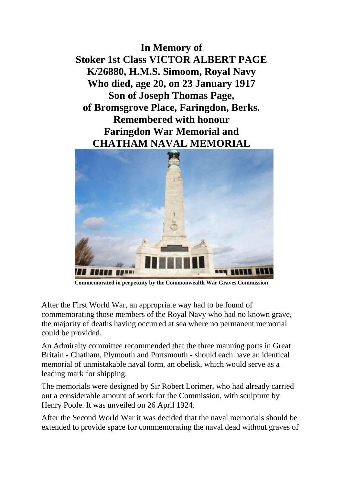**In Memory of Stoker 1st Class VICTOR ALBERT PAGE K/26880, H.M.S. Simoom, Royal Navy Who died, age 20, on 23 January 1917 Son of Joseph Thomas Page, of Bromsgrove Place, Faringdon, Berks. Remembered with honour Faringdon War Memorial and CHATHAM NAVAL MEMORIAL**



**Commemorated in perpetuity by the Commonwealth War Graves Commission** 

After the First World War, an appropriate way had to be found of commemorating those members of the Royal Navy who had no known grave, the majority of deaths having occurred at sea where no permanent memorial could be provided.

An Admiralty committee recommended that the three manning ports in Great Britain - Chatham, Plymouth and Portsmouth - should each have an identical memorial of unmistakable naval form, an obelisk, which would serve as a leading mark for shipping.

The memorials were designed by Sir Robert Lorimer, who had already carried out a considerable amount of work for the Commission, with sculpture by Henry Poole. It was unveiled on 26 April 1924.

After the Second World War it was decided that the naval memorials should be extended to provide space for commemorating the naval dead without graves of